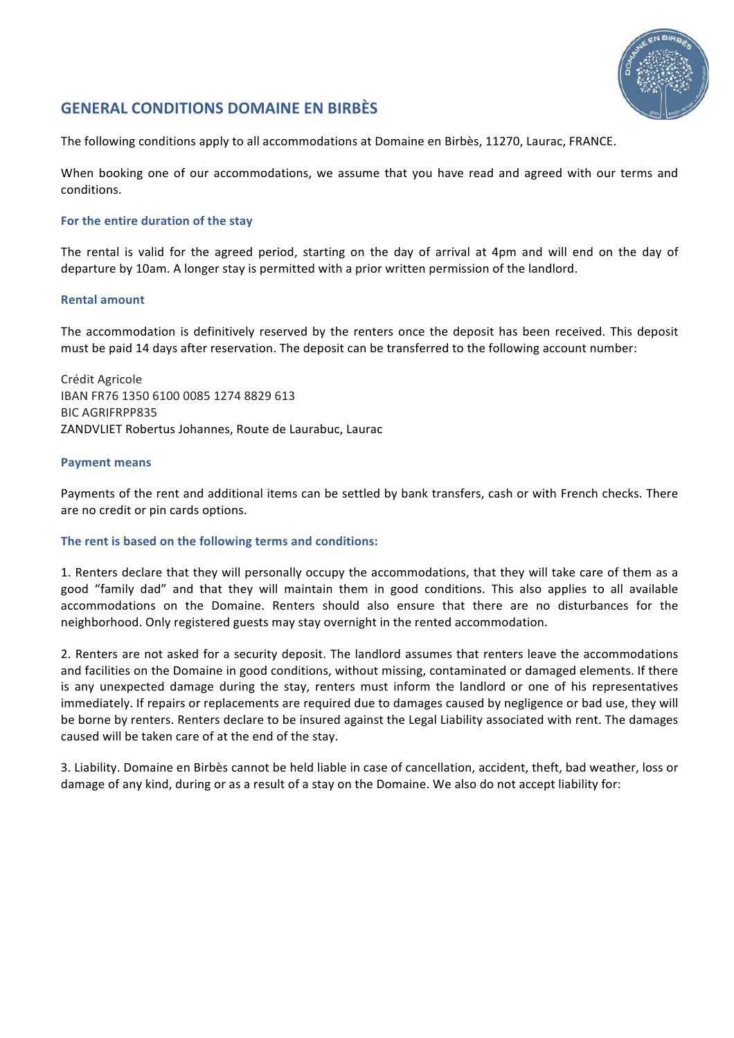

# **GENERAL CONDITIONS DOMAINE EN BIRBÈS**

The following conditions apply to all accommodations at Domaine en Birbès, 11270, Laurac, FRANCE.

When booking one of our accommodations, we assume that you have read and agreed with our terms and conditions. 

## For the entire duration of the stay

The rental is valid for the agreed period, starting on the day of arrival at 4pm and will end on the day of departure by 10am. A longer stay is permitted with a prior written permission of the landlord.

## **Rental amount**

The accommodation is definitively reserved by the renters once the deposit has been received. This deposit must be paid 14 days after reservation. The deposit can be transferred to the following account number:

Crédit Agricole IBAN FR76 1350 6100 0085 1274 8829 613 BIC AGRIFRPP835 ZANDVLIET Robertus Johannes, Route de Laurabuc, Laurac

## **Payment means**

Payments of the rent and additional items can be settled by bank transfers, cash or with French checks. There are no credit or pin cards options.

## The rent is based on the following terms and conditions:

1. Renters declare that they will personally occupy the accommodations, that they will take care of them as a good "family dad" and that they will maintain them in good conditions. This also applies to all available accommodations on the Domaine. Renters should also ensure that there are no disturbances for the neighborhood. Only registered guests may stay overnight in the rented accommodation.

2. Renters are not asked for a security deposit. The landlord assumes that renters leave the accommodations and facilities on the Domaine in good conditions, without missing, contaminated or damaged elements. If there is any unexpected damage during the stay, renters must inform the landlord or one of his representatives immediately. If repairs or replacements are required due to damages caused by negligence or bad use, they will be borne by renters. Renters declare to be insured against the Legal Liability associated with rent. The damages caused will be taken care of at the end of the stay.

3. Liability. Domaine en Birbès cannot be held liable in case of cancellation, accident, theft, bad weather, loss or damage of any kind, during or as a result of a stay on the Domaine. We also do not accept liability for: